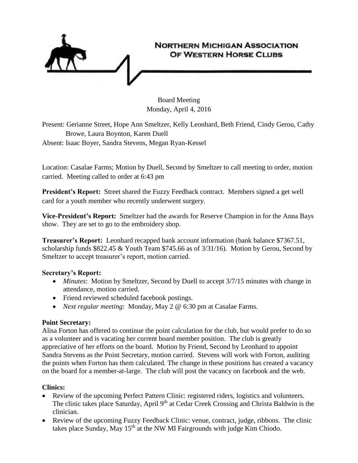

Board Meeting Monday, April 4, 2016

Present: Gerianne Street, Hope Ann Smeltzer, Kelly Leonhard, Beth Friend, Cindy Gerou, Cathy Browe, Laura Boynton, Karen Duell Absent: Isaac Boyer, Sandra Stevens, Megan Ryan-Kessel

Location: Casalae Farms; Motion by Duell, Second by Smeltzer to call meeting to order, motion carried. Meeting called to order at 6:43 pm

**President's Report:** Street shared the Fuzzy Feedback contract. Members signed a get well card for a youth member who recently underwent surgery.

**Vice-President's Report:** Smeltzer had the awards for Reserve Champion in for the Anna Bays show. They are set to go to the embroidery shop.

**Treasurer's Report:** Leonhard recapped bank account information (bank balance \$7367.51, scholarship funds \$822.45 & Youth Team \$745.66 as of 3/31/16). Motion by Gerou, Second by Smeltzer to accept treasurer's report, motion carried.

## **Secretary's Report:**

- *Minutes*: Motion by Smeltzer, Second by Duell to accept 3/7/15 minutes with change in attendance, motion carried.
- Friend reviewed scheduled facebook postings.
- *Next regular meeting*: Monday, May 2 @ 6:30 pm at Casalae Farms.

### **Point Secretary:**

Alisa Forton has offered to continue the point calculation for the club, but would prefer to do so as a volunteer and is vacating her current board member position. The club is greatly appreciative of her efforts on the board. Motion by Friend, Second by Leonhard to appoint Sandra Stevens as the Point Secretary, motion carried. Stevens will work with Forton, auditing the points when Forton has them calculated. The change in these positions has created a vacancy on the board for a member-at-large. The club will post the vacancy on facebook and the web.

### **Clinics:**

- Review of the upcoming Perfect Pattern Clinic: registered riders, logistics and volunteers. The clinic takes place Saturday, April 9<sup>th</sup> at Cedar Creek Crossing and Christa Baldwin is the clinician.
- Review of the upcoming Fuzzy Feedback Clinic: venue, contract, judge, ribbons. The clinic takes place Sunday, May  $15<sup>th</sup>$  at the NW MI Fairgrounds with judge Kim Chiodo.